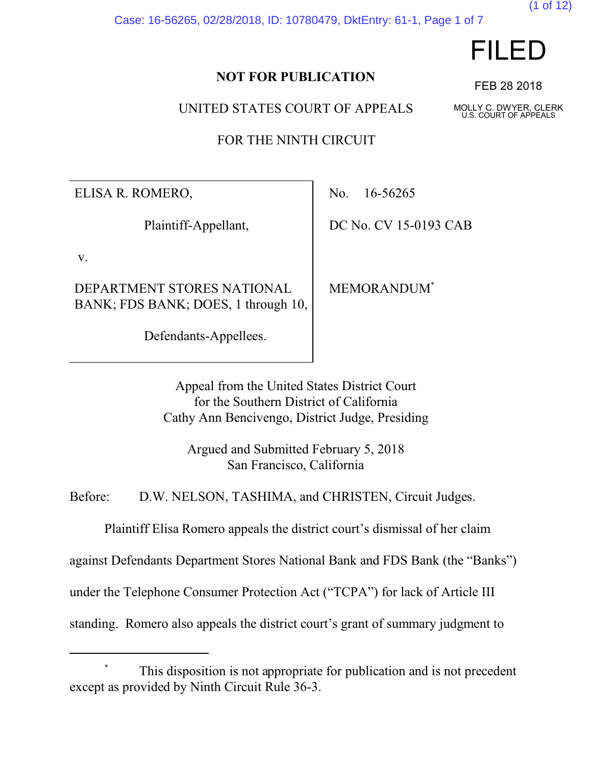Case: 16-56265, 02/28/2018, ID: 10780479, DktEntry: 61-1, Page 1 of 7



(1 of 12)

### **NOT FOR PUBLICATION**

UNITED STATES COURT OF APPEALS

FOR THE NINTH CIRCUIT

ELISA R. ROMERO,

Plaintiff-Appellant,

v.

DEPARTMENT STORES NATIONAL BANK; FDS BANK; DOES, 1 through 10,

Defendants-Appellees.

No. 16-56265

DC No. CV 15-0193 CAB

MEMORANDUM\*

Appeal from the United States District Court for the Southern District of California Cathy Ann Bencivengo, District Judge, Presiding

Argued and Submitted February 5, 2018 San Francisco, California

Before: D.W. NELSON, TASHIMA, and CHRISTEN, Circuit Judges.

Plaintiff Elisa Romero appeals the district court's dismissal of her claim

against Defendants Department Stores National Bank and FDS Bank (the "Banks")

under the Telephone Consumer Protection Act ("TCPA") for lack of Article III

standing. Romero also appeals the district court's grant of summary judgment to

FEB 28 2018

MOLLY C. DWYER, CLERK U.S. COURT OF APPEALS

This disposition is not appropriate for publication and is not precedent except as provided by Ninth Circuit Rule 36-3.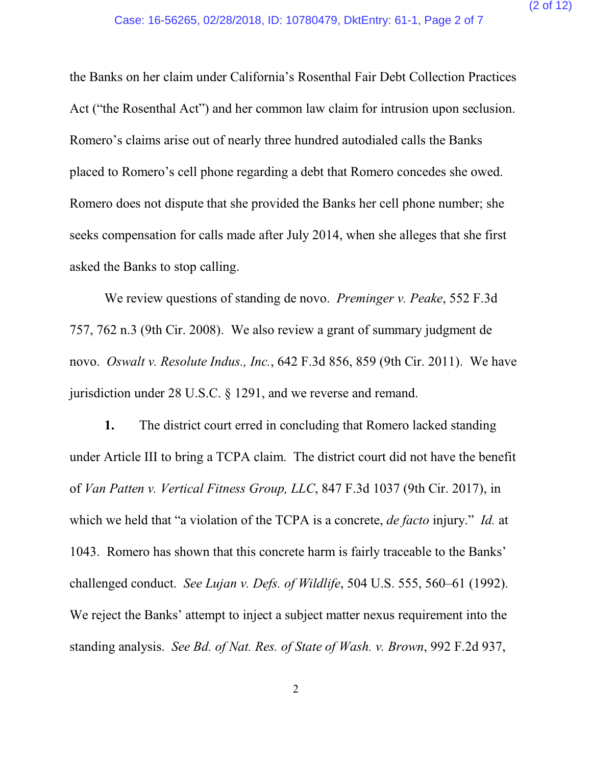the Banks on her claim under California's Rosenthal Fair Debt Collection Practices Act ("the Rosenthal Act") and her common law claim for intrusion upon seclusion. Romero's claims arise out of nearly three hundred autodialed calls the Banks placed to Romero's cell phone regarding a debt that Romero concedes she owed. Romero does not dispute that she provided the Banks her cell phone number; she seeks compensation for calls made after July 2014, when she alleges that she first asked the Banks to stop calling.

We review questions of standing de novo. *Preminger v. Peake*, 552 F.3d 757, 762 n.3 (9th Cir. 2008). We also review a grant of summary judgment de novo. *Oswalt v. Resolute Indus., Inc.*, 642 F.3d 856, 859 (9th Cir. 2011). We have jurisdiction under 28 U.S.C. § 1291, and we reverse and remand.

**1.** The district court erred in concluding that Romero lacked standing under Article III to bring a TCPA claim. The district court did not have the benefit of *Van Patten v. Vertical Fitness Group, LLC*, 847 F.3d 1037 (9th Cir. 2017), in which we held that "a violation of the TCPA is a concrete, *de facto* injury." *Id.* at 1043. Romero has shown that this concrete harm is fairly traceable to the Banks' challenged conduct. *See Lujan v. Defs. of Wildlife*, 504 U.S. 555, 560–61 (1992). We reject the Banks' attempt to inject a subject matter nexus requirement into the standing analysis. *See Bd. of Nat. Res. of State of Wash. v. Brown*, 992 F.2d 937,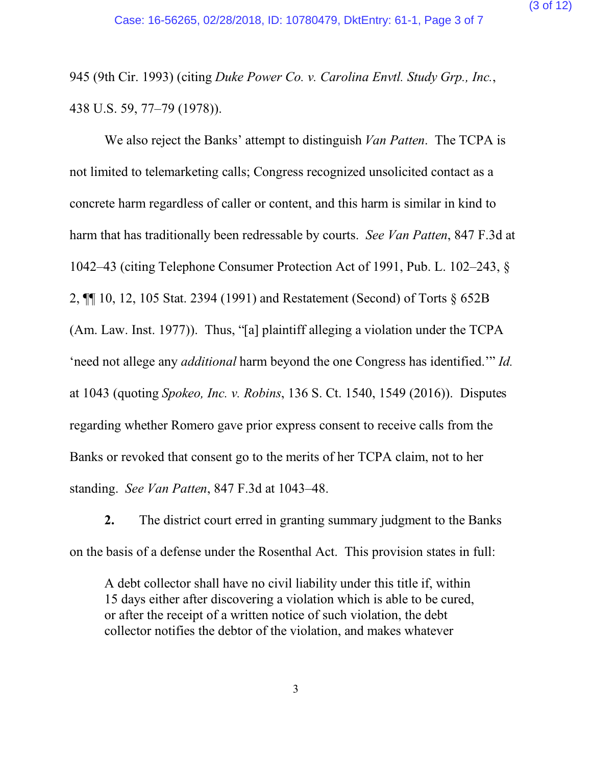945 (9th Cir. 1993) (citing *Duke Power Co. v. Carolina Envtl. Study Grp., Inc.*, 438 U.S. 59, 77–79 (1978)).

We also reject the Banks' attempt to distinguish *Van Patten*. The TCPA is not limited to telemarketing calls; Congress recognized unsolicited contact as a concrete harm regardless of caller or content, and this harm is similar in kind to harm that has traditionally been redressable by courts. *See Van Patten*, 847 F.3d at 1042–43 (citing Telephone Consumer Protection Act of 1991, Pub. L. 102–243, § 2, ¶¶ 10, 12, 105 Stat. 2394 (1991) and Restatement (Second) of Torts § 652B (Am. Law. Inst. 1977)). Thus, "[a] plaintiff alleging a violation under the TCPA 'need not allege any *additional* harm beyond the one Congress has identified.'" *Id.* at 1043 (quoting *Spokeo, Inc. v. Robins*, 136 S. Ct. 1540, 1549 (2016)). Disputes regarding whether Romero gave prior express consent to receive calls from the Banks or revoked that consent go to the merits of her TCPA claim, not to her standing. *See Van Patten*, 847 F.3d at 1043–48.

**2.** The district court erred in granting summary judgment to the Banks on the basis of a defense under the Rosenthal Act. This provision states in full:

A debt collector shall have no civil liability under this title if, within 15 days either after discovering a violation which is able to be cured, or after the receipt of a written notice of such violation, the debt collector notifies the debtor of the violation, and makes whatever

3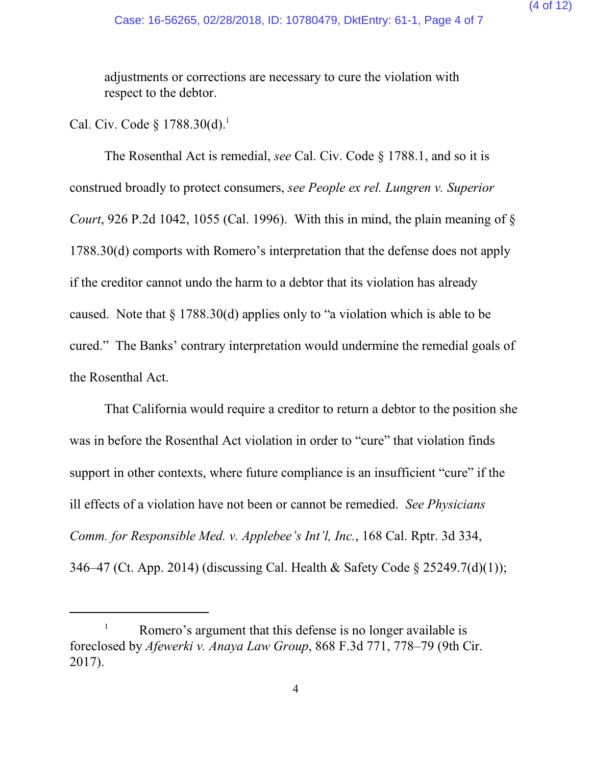(4 of 12)

adjustments or corrections are necessary to cure the violation with respect to the debtor.

Cal. Civ. Code  $\S 1788.30(d).$ <sup>1</sup>

The Rosenthal Act is remedial, *see* Cal. Civ. Code § 1788.1, and so it is construed broadly to protect consumers, *see People ex rel. Lungren v. Superior Court*, 926 P.2d 1042, 1055 (Cal. 1996). With this in mind, the plain meaning of § 1788.30(d) comports with Romero's interpretation that the defense does not apply if the creditor cannot undo the harm to a debtor that its violation has already caused. Note that § 1788.30(d) applies only to "a violation which is able to be cured." The Banks' contrary interpretation would undermine the remedial goals of the Rosenthal Act.

That California would require a creditor to return a debtor to the position she was in before the Rosenthal Act violation in order to "cure" that violation finds support in other contexts, where future compliance is an insufficient "cure" if the ill effects of a violation have not been or cannot be remedied. *See Physicians Comm. for Responsible Med. v. Applebee's Int'l, Inc.*, 168 Cal. Rptr. 3d 334, 346–47 (Ct. App. 2014) (discussing Cal. Health & Safety Code § 25249.7(d)(1));

Romero's argument that this defense is no longer available is foreclosed by *Afewerki v. Anaya Law Group*, 868 F.3d 771, 778–79 (9th Cir. 2017).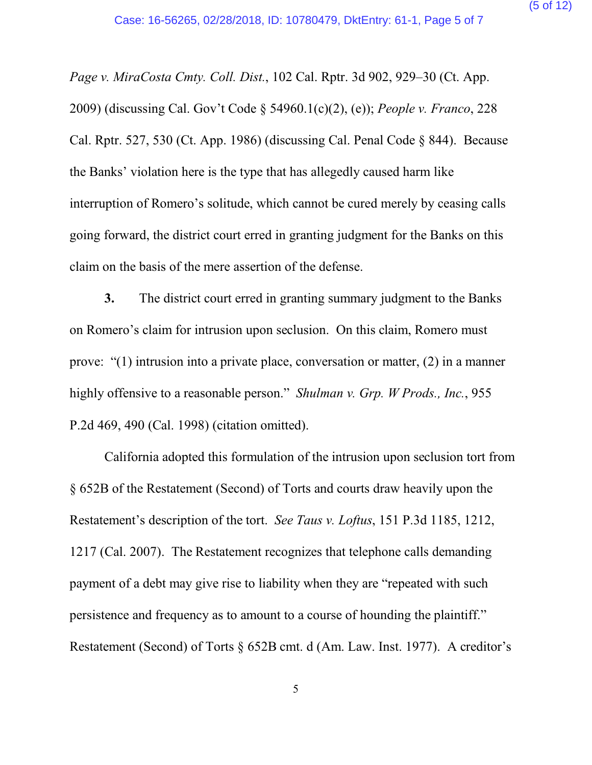*Page v. MiraCosta Cmty. Coll. Dist.*, 102 Cal. Rptr. 3d 902, 929–30 (Ct. App. 2009) (discussing Cal. Gov't Code § 54960.1(c)(2), (e)); *People v. Franco*, 228 Cal. Rptr. 527, 530 (Ct. App. 1986) (discussing Cal. Penal Code § 844). Because the Banks' violation here is the type that has allegedly caused harm like interruption of Romero's solitude, which cannot be cured merely by ceasing calls going forward, the district court erred in granting judgment for the Banks on this claim on the basis of the mere assertion of the defense.

**3.** The district court erred in granting summary judgment to the Banks on Romero's claim for intrusion upon seclusion. On this claim, Romero must prove: "(1) intrusion into a private place, conversation or matter, (2) in a manner highly offensive to a reasonable person." *Shulman v. Grp. W Prods., Inc.*, 955 P.2d 469, 490 (Cal. 1998) (citation omitted).

California adopted this formulation of the intrusion upon seclusion tort from § 652B of the Restatement (Second) of Torts and courts draw heavily upon the Restatement's description of the tort. *See Taus v. Loftus*, 151 P.3d 1185, 1212, 1217 (Cal. 2007). The Restatement recognizes that telephone calls demanding payment of a debt may give rise to liability when they are "repeated with such persistence and frequency as to amount to a course of hounding the plaintiff." Restatement (Second) of Torts § 652B cmt. d (Am. Law. Inst. 1977). A creditor's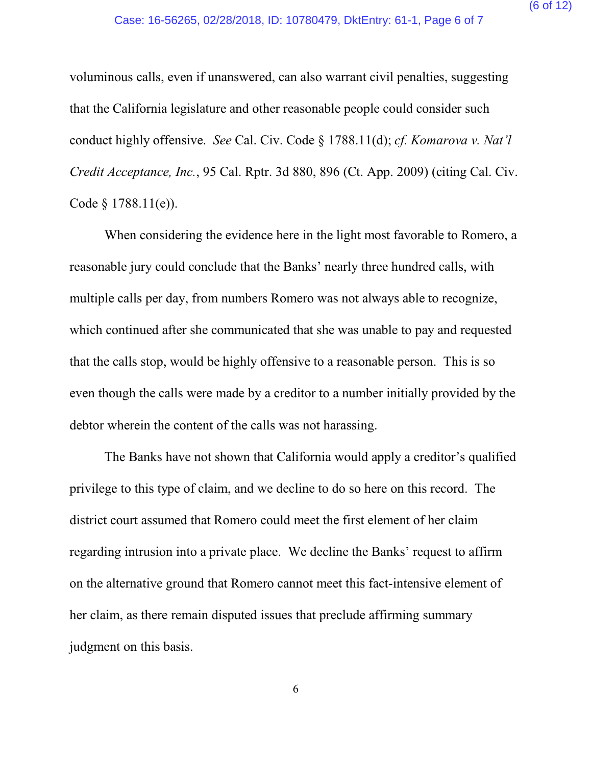voluminous calls, even if unanswered, can also warrant civil penalties, suggesting that the California legislature and other reasonable people could consider such conduct highly offensive. *See* Cal. Civ. Code § 1788.11(d); *cf. Komarova v. Nat'l Credit Acceptance, Inc.*, 95 Cal. Rptr. 3d 880, 896 (Ct. App. 2009) (citing Cal. Civ. Code § 1788.11(e)).

When considering the evidence here in the light most favorable to Romero, a reasonable jury could conclude that the Banks' nearly three hundred calls, with multiple calls per day, from numbers Romero was not always able to recognize, which continued after she communicated that she was unable to pay and requested that the calls stop, would be highly offensive to a reasonable person. This is so even though the calls were made by a creditor to a number initially provided by the debtor wherein the content of the calls was not harassing.

The Banks have not shown that California would apply a creditor's qualified privilege to this type of claim, and we decline to do so here on this record. The district court assumed that Romero could meet the first element of her claim regarding intrusion into a private place. We decline the Banks' request to affirm on the alternative ground that Romero cannot meet this fact-intensive element of her claim, as there remain disputed issues that preclude affirming summary judgment on this basis.

6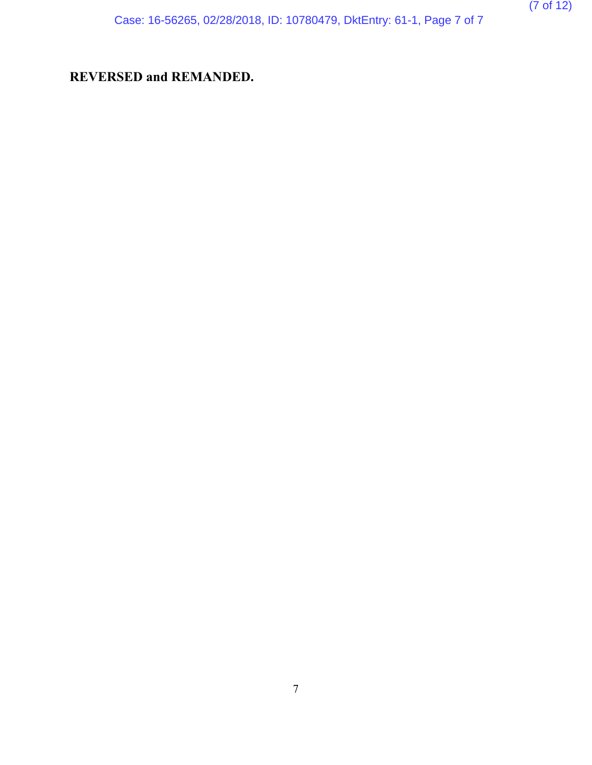Case: 16-56265, 02/28/2018, ID: 10780479, DktEntry: 61-1, Page 7 of 7

# **REVERSED and REMANDED.**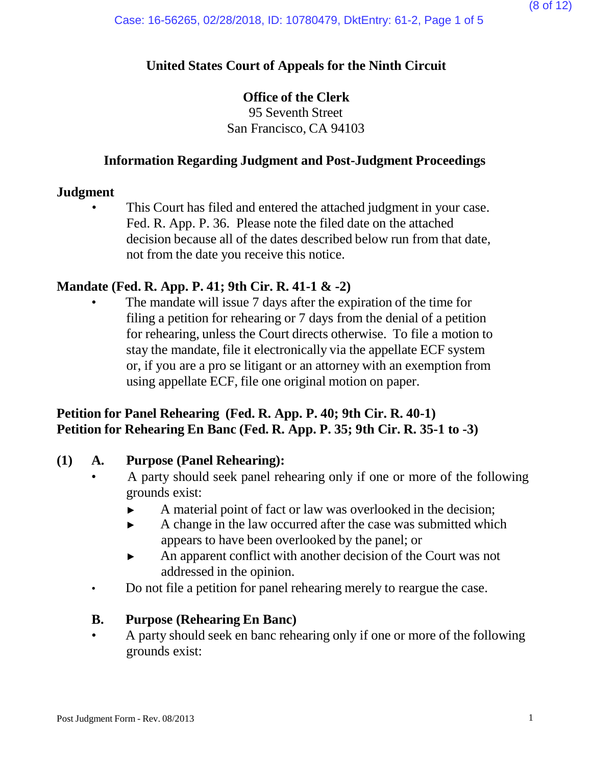### **United States Court of Appeals for the Ninth Circuit**

### **Office of the Clerk**

95 Seventh Street San Francisco, CA 94103

### **Information Regarding Judgment and Post-Judgment Proceedings**

#### **Judgment**

This Court has filed and entered the attached judgment in your case. Fed. R. App. P. 36. Please note the filed date on the attached decision because all of the dates described below run from that date, not from the date you receive this notice.

### **Mandate (Fed. R. App. P. 41; 9th Cir. R. 41-1 & -2)**

The mandate will issue 7 days after the expiration of the time for filing a petition for rehearing or 7 days from the denial of a petition for rehearing, unless the Court directs otherwise. To file a motion to stay the mandate, file it electronically via the appellate ECF system or, if you are a pro se litigant or an attorney with an exemption from using appellate ECF, file one original motion on paper.

### **Petition for Panel Rehearing (Fed. R. App. P. 40; 9th Cir. R. 40-1) Petition for Rehearing En Banc (Fed. R. App. P. 35; 9th Cir. R. 35-1 to -3)**

### **(1) A. Purpose (Panel Rehearing):**

- A party should seek panel rehearing only if one or more of the following grounds exist:
	- ► A material point of fact or law was overlooked in the decision;
	- ► A change in the law occurred after the case was submitted which appears to have been overlooked by the panel; or
	- ► An apparent conflict with another decision of the Court was not addressed in the opinion.
- Do not file a petition for panel rehearing merely to reargue the case.

### **B. Purpose (Rehearing En Banc)**

• A party should seek en banc rehearing only if one or more of the following grounds exist: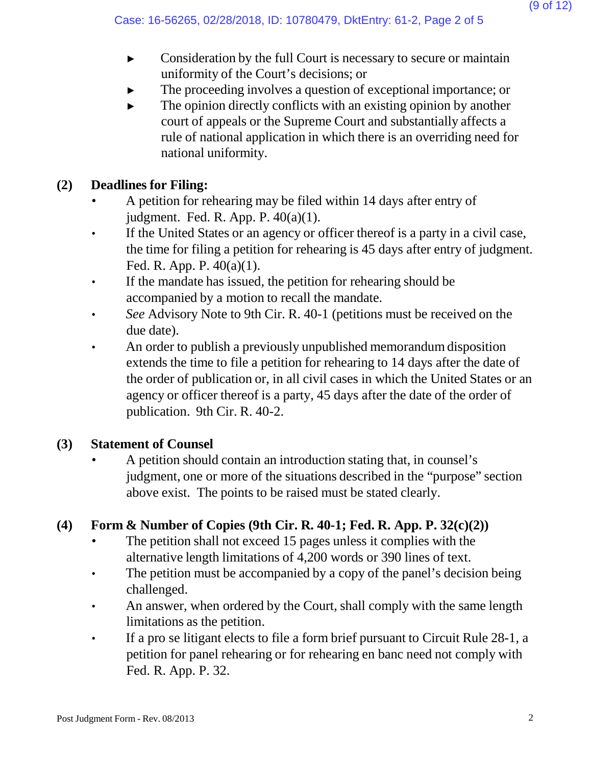- ► Consideration by the full Court is necessary to secure or maintain uniformity of the Court's decisions; or
- The proceeding involves a question of exceptional importance; or
- $\blacktriangleright$  The opinion directly conflicts with an existing opinion by another court of appeals or the Supreme Court and substantially affects a rule of national application in which there is an overriding need for national uniformity.

# **(2) Deadlines for Filing:**

- A petition for rehearing may be filed within 14 days after entry of judgment. Fed. R. App. P. 40(a)(1).
- If the United States or an agency or officer thereof is a party in a civil case, the time for filing a petition for rehearing is 45 days after entry of judgment. Fed. R. App. P. 40(a)(1).
- If the mandate has issued, the petition for rehearing should be accompanied by a motion to recall the mandate.
- *See* Advisory Note to 9th Cir. R. 40-1 (petitions must be received on the due date).
- An order to publish a previously unpublished memorandum disposition extends the time to file a petition for rehearing to 14 days after the date of the order of publication or, in all civil cases in which the United States or an agency or officer thereof is a party, 45 days after the date of the order of publication. 9th Cir. R. 40-2.

# **(3) Statement of Counsel**

• A petition should contain an introduction stating that, in counsel's judgment, one or more of the situations described in the "purpose" section above exist. The points to be raised must be stated clearly.

# **(4) Form & Number of Copies (9th Cir. R. 40-1; Fed. R. App. P. 32(c)(2))**

- The petition shall not exceed 15 pages unless it complies with the alternative length limitations of 4,200 words or 390 lines of text.
- The petition must be accompanied by a copy of the panel's decision being challenged.
- An answer, when ordered by the Court, shall comply with the same length limitations as the petition.
- If a pro se litigant elects to file a form brief pursuant to Circuit Rule 28-1, a petition for panel rehearing or for rehearing en banc need not comply with Fed. R. App. P. 32.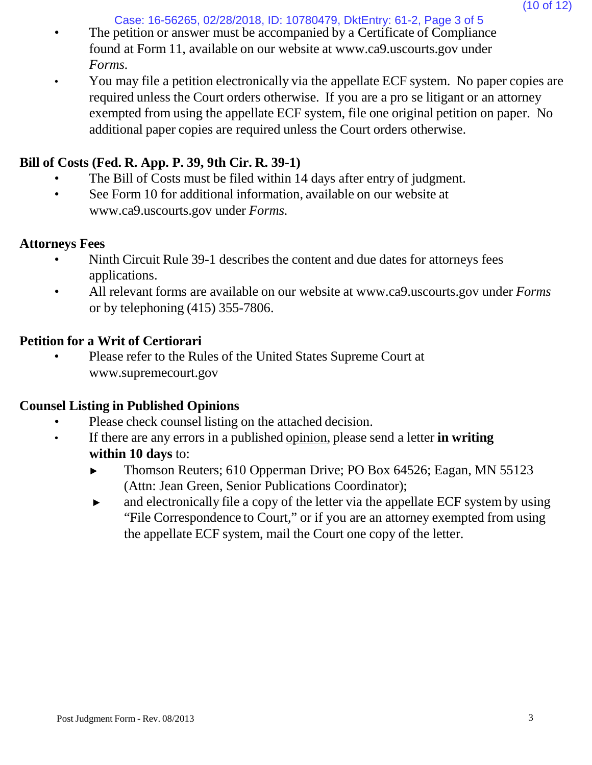Case: 16-56265, 02/28/2018, ID: 10780479, DktEntry: 61-2, Page 3 of 5

- The petition or answer must be accompanied by a Certificate of Compliance found at Form 11, available on our website [at www.ca9.uscourts.gov](http://www.ca9.uscourts.gov/) under *Forms.*
- You may file a petition electronically via the appellate ECF system. No paper copies are required unless the Court orders otherwise. If you are a pro se litigant or an attorney exempted from using the appellate ECF system, file one original petition on paper. No additional paper copies are required unless the Court orders otherwise.

## **Bill of Costs (Fed. R. App. P. 39, 9th Cir. R. 39-1)**

- The Bill of Costs must be filed within 14 days after entry of judgment.
- See Form 10 for addi[t](http://www.ca9.uscourts.gov/)ional information, available on our website at [www.ca9.uscourts.gov](http://www.ca9.uscourts.gov/) under *Forms.*

## **Attorneys Fees**

- Ninth Circuit Rule 39-1 describes the content and due dates for attorneys fees applications.
- All relevant forms are available on our website at [www.ca9.uscourts.gov](http://www.ca9.uscourts.gov/) under *Forms* or by telephoning (415) 355-7806.

# **Petition for a Writ of Certiorari**

• Please refer to the Rules of the United States Supreme Court a[t](http://www.supremecourt.gov/) [www.supremecourt.gov](http://www.supremecourt.gov/)

## **Counsel Listing in Published Opinions**

- Please check counsel listing on the attached decision.
- If there are any errors in a published opinion, please send a letter **in writing within 10 days** to:
	- ► Thomson Reuters; 610 Opperman Drive; PO Box 64526; Eagan, MN 55123 (Attn: Jean Green, Senior Publications Coordinator);
	- ► and electronically file a copy of the letter via the appellate ECF system by using "File Correspondence to Court," or if you are an attorney exempted from using the appellate ECF system, mail the Court one copy of the letter.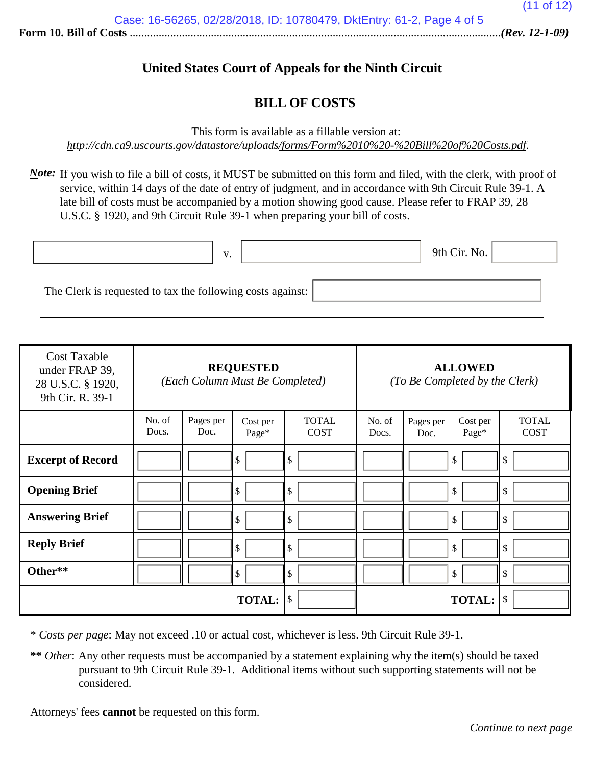### **United States Court of Appeals for the Ninth Circuit**

### **BILL OF COSTS**

This form is available as a fillable version at:

*<http://cdn.ca9.uscourts.gov/datastore/uploads/forms/Form%2010%20-%20Bill%20of%20Costs.pdf>*.

*Note*: If you wish to file a bill of costs, it MUST be submitted on this form and filed, with the clerk, with proof of service, within 14 days of the date of entry of judgment, and in accordance with 9th Circuit Rule 39-1. A late bill of costs must be accompanied by a motion showing good cause. Please refer to FRAP 39, 28 U.S.C. § 1920, and 9th Circuit Rule 39-1 when preparing your bill of costs.

|                                                            | $\mathbf{V}$<br>. . | 9th Cir. No. |  |
|------------------------------------------------------------|---------------------|--------------|--|
| The Clerk is requested to tax the following costs against: |                     |              |  |

| <b>Cost Taxable</b><br>under FRAP 39,<br>28 U.S.C. § 1920,<br>9th Cir. R. 39-1 | <b>REQUESTED</b><br>(Each Column Must Be Completed) |                   | <b>ALLOWED</b><br>(To Be Completed by the Clerk) |                             |                 |                   |                   |                             |
|--------------------------------------------------------------------------------|-----------------------------------------------------|-------------------|--------------------------------------------------|-----------------------------|-----------------|-------------------|-------------------|-----------------------------|
|                                                                                | No. of<br>Docs.                                     | Pages per<br>Doc. | Cost per<br>Page*                                | <b>TOTAL</b><br><b>COST</b> | No. of<br>Docs. | Pages per<br>Doc. | Cost per<br>Page* | <b>TOTAL</b><br><b>COST</b> |
| <b>Excerpt of Record</b>                                                       |                                                     |                   | \$                                               | \$                          |                 |                   | ll \$             | \$                          |
| <b>Opening Brief</b>                                                           |                                                     |                   | \$                                               | \$                          |                 |                   | ll \$             | \$                          |
| <b>Answering Brief</b>                                                         |                                                     |                   | \$                                               | $\mathcal{S}$               |                 |                   | ll \$             | \$                          |
| <b>Reply Brief</b>                                                             |                                                     |                   | \$                                               | $\sqrt{\ }$                 |                 |                   | ll \$             | \$                          |
| Other**                                                                        |                                                     |                   | \$                                               | $\sqrt{\frac{2}{5}}$        |                 |                   | ll \$             | \$                          |
|                                                                                |                                                     |                   | <b>TOTAL:</b>                                    | $\mathcal{S}$               |                 |                   | <b>TOTAL:</b>     | \$                          |

\* *Costs per page*: May not exceed .10 or actual cost, whichever is less. 9th Circuit Rule 39-1.

**\*\*** *Other*: Any other requests must be accompanied by a statement explaining why the item(s) should be taxed pursuant to 9th Circuit Rule 39-1. Additional items without such supporting statements will not be considered.

Attorneys' fees **cannot** be requested on this form.